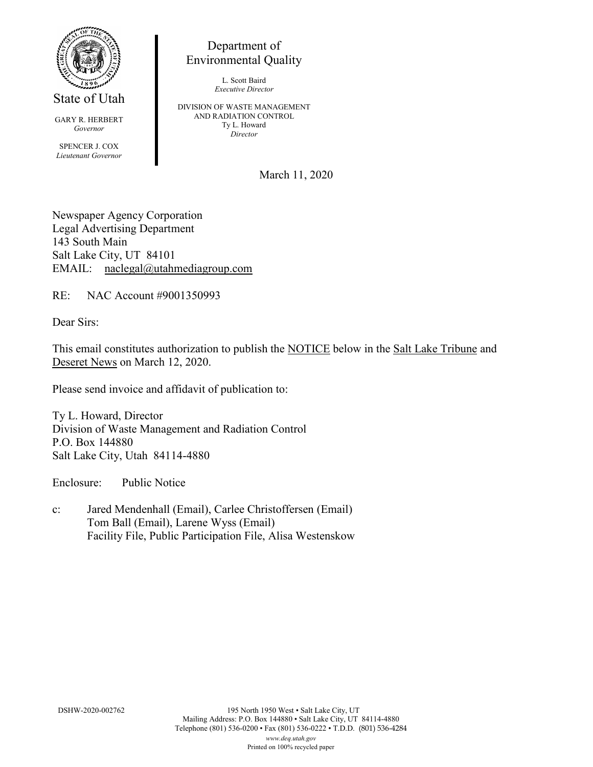

State of Utah

GARY R. HERBERT *Governor* SPENCER J. COX *Lieutenant Governor*

Department of Environmental Quality

> L. Scott Baird *Executive Director*

DIVISION OF WASTE MANAGEMENT AND RADIATION CONTROL Ty L. Howard *Director*

March 11, 2020

Newspaper Agency Corporation Legal Advertising Department 143 South Main Salt Lake City, UT 84101 EMAIL: naclegal@utahmediagroup.com

RE: NAC Account #9001350993

Dear Sirs:

This email constitutes authorization to publish the NOTICE below in the Salt Lake Tribune and Deseret News on March 12, 2020.

Please send invoice and affidavit of publication to:

Ty L. Howard, Director Division of Waste Management and Radiation Control P.O. Box 144880 Salt Lake City, Utah 84114-4880

Enclosure: Public Notice

c: Jared Mendenhall (Email), Carlee Christoffersen (Email) Tom Ball (Email), Larene Wyss (Email) Facility File, Public Participation File, Alisa Westenskow